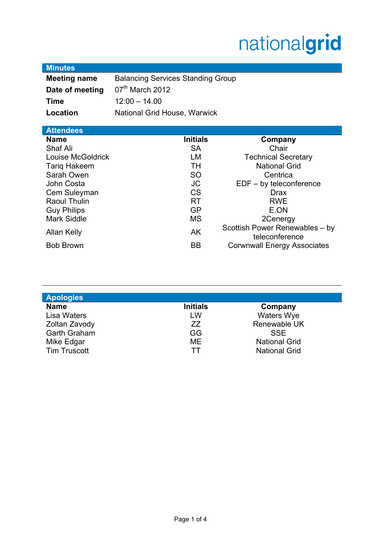# nationalgrid

## **Minutes**

| <b>Meeting name</b> | <b>Balancing Services Standing Group</b> |  |
|---------------------|------------------------------------------|--|
| Date of meeting     | $07th$ March 2012                        |  |
| Time                | $12:00 - 14.00$                          |  |
| Location            | National Grid House, Warwick             |  |

| <b>Attendees</b>    |                 |                                                  |
|---------------------|-----------------|--------------------------------------------------|
| <b>Name</b>         | <b>Initials</b> | Company                                          |
| Shaf Ali            | <b>SA</b>       | Chair                                            |
| Louise McGoldrick   | <b>LM</b>       | <b>Technical Secretary</b>                       |
| <b>Tariq Hakeem</b> | <b>TH</b>       | <b>National Grid</b>                             |
| Sarah Owen          | <b>SO</b>       | Centrica                                         |
| John Costa          | <b>JC</b>       | $EDF - by teleconference$                        |
| Cem Suleyman        | <b>CS</b>       | <b>Drax</b>                                      |
| Raoul Thulin        | <b>RT</b>       | <b>RWE</b>                                       |
| <b>Guy Philips</b>  | <b>GP</b>       | E.ON                                             |
| <b>Mark Siddle</b>  | <b>MS</b>       | 2Cenergy                                         |
| Allan Kelly         | AK              | Scottish Power Renewables - by<br>teleconference |
| <b>Bob Brown</b>    | <b>BB</b>       | <b>Corwnwall Energy Associates</b>               |

| <b>Initials</b> | Company              |
|-----------------|----------------------|
| LW              | <b>Waters Wye</b>    |
| ZZ              | Renewable UK         |
| <b>GG</b>       | <b>SSE</b>           |
| <b>ME</b>       | <b>National Grid</b> |
| тт              | <b>National Grid</b> |
|                 |                      |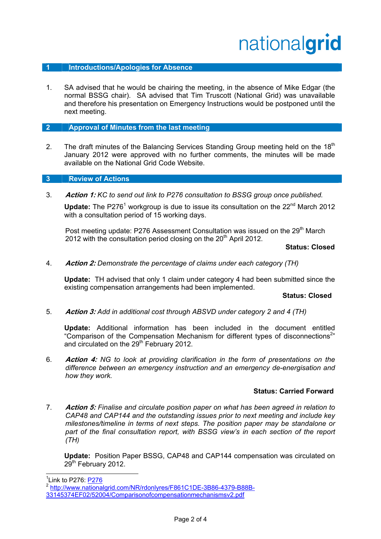## nationalgrid

#### **1 Introductions/Apologies for Absence**

1. SA advised that he would be chairing the meeting, in the absence of Mike Edgar (the normal BSSG chair). SA advised that Tim Truscott (National Grid) was unavailable and therefore his presentation on Emergency Instructions would be postponed until the next meeting.

#### **2 Approval of Minutes from the last meeting**

2. The draft minutes of the Balancing Services Standing Group meeting held on the 18<sup>th</sup> January 2012 were approved with no further comments, the minutes will be made available on the National Grid Code Website.

#### **3 Review of Actions**

3. **Action 1:** *KC to send out link to P276 consultation to BSSG group once published.*

Update: The P276<sup>1</sup> workgroup is due to issue its consultation on the 22<sup>nd</sup> March 2012 with a consultation period of 15 working days.

Post meeting update: P276 Assessment Consultation was issued on the 29<sup>th</sup> March 2012 with the consultation period closing on the  $20<sup>th</sup>$  April 2012.

#### **Status: Closed**

4. **Action 2:** *Demonstrate the percentage of claims under each category (TH)* 

**Update:** TH advised that only 1 claim under category 4 had been submitted since the existing compensation arrangements had been implemented.

#### **Status: Closed**

5. **Action 3:** *Add in additional cost through ABSVD under category 2 and 4 (TH)*

**Update:** Additional information has been included in the document entitled "Comparison of the Compensation Mechanism for different types of disconnections<sup>2</sup>" and circulated on the 29<sup>th</sup> February 2012.

6. **Action 4:** *NG to look at providing clarification in the form of presentations on the difference between an emergency instruction and an emergency de-energisation and how they work.* 

#### **Status: Carried Forward**

7. **Action 5:** *Finalise and circulate position paper on what has been agreed in relation to CAP48 and CAP144 and the outstanding issues prior to next meeting and include key milestones/timeline in terms of next steps. The position paper may be standalone or*  part of the final consultation report, with BSSG view's in each section of the report *(TH)*

**Update:** Position Paper BSSG, CAP48 and CAP144 compensation was circulated on 29<sup>th</sup> February 2012.

l

<sup>&</sup>lt;sup>1</sup>Link to P276: <u>P276</u>

<sup>2</sup> http://www.nationalgrid.com/NR/rdonlyres/F861C1DE-3B86-4379-B88B-33145374EF02/52004/Comparisonofcompensationmechanismsv2.pdf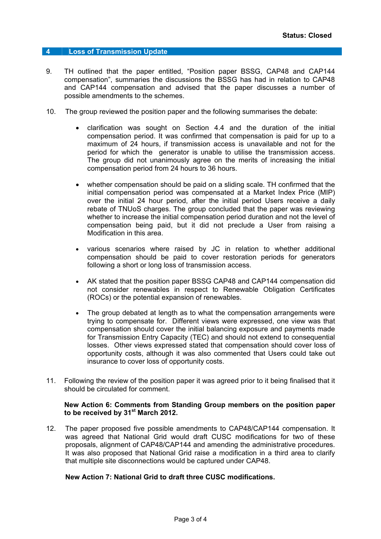#### **4 Loss of Transmission Update**

- 9. TH outlined that the paper entitled, "Position paper BSSG, CAP48 and CAP144 compensation", summaries the discussions the BSSG has had in relation to CAP48 and CAP144 compensation and advised that the paper discusses a number of possible amendments to the schemes.
- 10. The group reviewed the position paper and the following summarises the debate:
	- clarification was sought on Section 4.4 and the duration of the initial compensation period. It was confirmed that compensation is paid for up to a maximum of 24 hours, if transmission access is unavailable and not for the period for which the generator is unable to utilise the transmission access. The group did not unanimously agree on the merits of increasing the initial compensation period from 24 hours to 36 hours.
	- whether compensation should be paid on a sliding scale. TH confirmed that the initial compensation period was compensated at a Market Index Price (MIP) over the initial 24 hour period, after the initial period Users receive a daily rebate of TNUoS charges. The group concluded that the paper was reviewing whether to increase the initial compensation period duration and not the level of compensation being paid, but it did not preclude a User from raising a Modification in this area.
	- various scenarios where raised by JC in relation to whether additional compensation should be paid to cover restoration periods for generators following a short or long loss of transmission access.
	- AK stated that the position paper BSSG CAP48 and CAP144 compensation did not consider renewables in respect to Renewable Obligation Certificates (ROCs) or the potential expansion of renewables.
	- The group debated at length as to what the compensation arrangements were trying to compensate for. Different views were expressed, one view was that compensation should cover the initial balancing exposure and payments made for Transmission Entry Capacity (TEC) and should not extend to consequential losses. Other views expressed stated that compensation should cover loss of opportunity costs, although it was also commented that Users could take out insurance to cover loss of opportunity costs.
- 11. Following the review of the position paper it was agreed prior to it being finalised that it should be circulated for comment.

#### **New Action 6: Comments from Standing Group members on the position paper to be received by 31st March 2012.**

12. The paper proposed five possible amendments to CAP48/CAP144 compensation. It was agreed that National Grid would draft CUSC modifications for two of these proposals, alignment of CAP48/CAP144 and amending the administrative procedures. It was also proposed that National Grid raise a modification in a third area to clarify that multiple site disconnections would be captured under CAP48.

#### **New Action 7: National Grid to draft three CUSC modifications.**